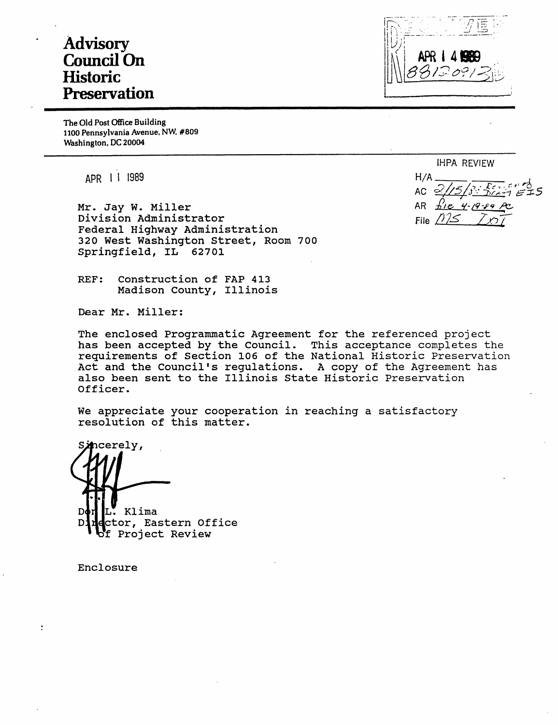# **Advisory Council On Historic Preservation**

APR I

The Old Post Office Building 1100 Pennsylvania Avenue, NW, #809 Washington, DC 20004

APR I I 1989

Mr. Jay w. Miller Division Administrator Federal Highway Administration 320 West Washington Street, Room 700 Springfield, IL 62701

REF: Construction of FAP 413 Madison County, Illinois

Dear Mr. Miller:

The enclosed Programmatic Agreement for the referenced project has been accepted by the Council. This acceptance completes the requirements of Section 106 of the National Historic Preservation Act and the Council's regulations. A copy of the Agreement has also been sent to the Illinois State Historic Preservation Officer.

We appreciate your cooperation in reaching a satisfactory resolution of this matter.

ncerely, Klima ctor, Eastern Office D:

Project Review

Enclosure

 $\ddot{\cdot}$ 

IHPA REVIEW

 $H/A$ AC AR File  $/2$ / $\leq$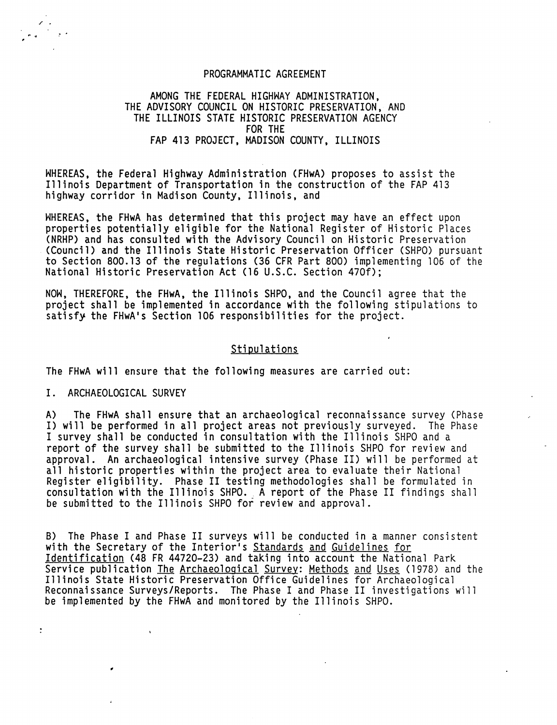#### PROGRAMMATIC AGREEMENT

## AMONG THE FEDERAL HIGHWAY ADMINISTRATION, THE ADVISORY COUNCIL ON HISTORIC PRESERVATION, AND THE ILLINOIS STATE HISTORIC PRESERVATION AGENCY FOR THE FAP 413 PROJECT, MADISON COUNTY, ILLINOIS

WHEREAS, the Federal Highway Administration CFHwA) proposes to assist the Illinois Department of Transportation in the construction of the FAP 413 highway corridor in Madison County, Illinois, and

WHEREAS, the FHwA has determined that this project may have an effect upon properties potentially eligible for the National Register of Historic Places (NRHP) and has consulted with the Advisory Council on Historic Preservation (Council) and the Illinois State Historic Preservation Officer (SHPO) pursuant to Section 800.13 of the regulations (36 CFR Part 800) implementing 106 of the National Historic Preservation Act (16 U.S.C. Section 470f);

NOW, THEREFORE, the FHwA, the Illinois SHPO, and the Council agree that the project shall be implemented in accordance with the following stipulations to satisfy the FHwA's Section 106 responsibilities for the project.

## Stipulations

The FHwA will ensure that the following measures are carried out:

#### I. ARCHAEOLOGICAL SURVEY

 $\ddot{\cdot}$ 

 $\lambda$ 

A) The FHwA shall ensure that an archaeological reconnaissance survey (Phase I) will be performed in all project areas not previously surveyed. The Phase I survey shall be conducted in consultation with the Illinois SHPO and a report of the survey shall be submitted to the Illinois SHPO for review and approval. An archaeological intensive survey (Phase II) will be performed at all historic properties within the project area to evaluate their National Register eligibility. Phase II testing methodologies shall be formulated in consultation with the Illinois SHPO. A report of the Phase II findings shall be submitted to the Illinois SHPO for review and approval.

8) The Phase I and Phase II surveys will be conducted in a manner consistent with the Secretary of the Interior's Standards and Guidelines for Identification (48 FR 44720-23) and taking into account the National Park Service publication The Archaeological Survey: Methods and Uses (1978) and the Illinois State Historic Preservation Office Guidelines for Archaeological Reconnaissance Surveys/Reports. The Phase I and Phase II investigations will be implemented by the FHwA and monitored by the Illinois SHPO.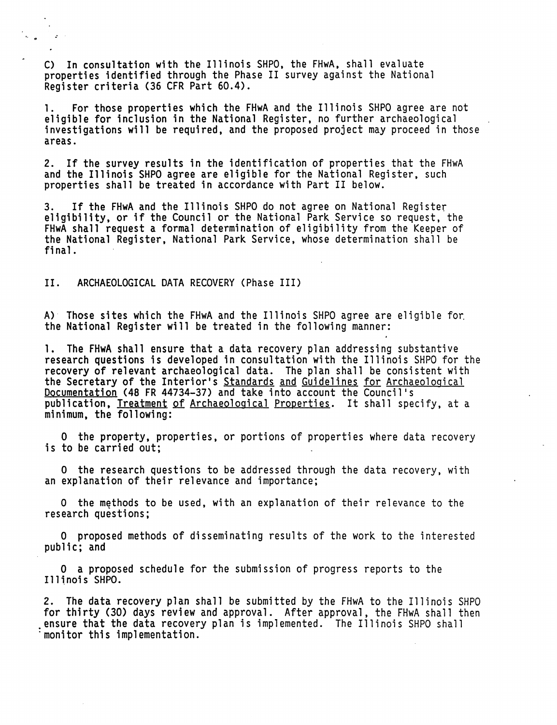C) In consultation with the Illinois SHPO, the FHwA, shall evaluate properties identified through the Phase II survey against the National Register criteria (36 CFR Part 60.4).

1. For those properties which the FHwA and the Illinois SHPO agree are not eligible for inclusion in the National Register, no further archaeological investigations will be required, and the proposed project may proceed in those areas.

2. If the survey results in the identification of properties that the FHwA and the Illinois SHPO agree are eligible for the National Register, such properties shall be treated in accordance with Part II below.

3. If the FHwA and the Illinois SHPO do not agree on National Register<br>eligibility, or if the Council or the National Park Service so request, the FHwA shall request a formal determination of eligibility from the Keeper of the National Register, National Park Service, whose determination shall be final.

## II. ARCHAEOLOGICAL DATA RECOVERY (Phase III)

A) Those sites which the FHwA and the Illinois SHPO agree are eligible for the National Register will be treated in the following manner:

1. The FHwA shall ensure that a data recovery plan addressing substantive research questions is developed in consultation with the Illinois SHPO for the recovery of relevant archaeological data. The plan shall be consistent with the Secretary of the Interior's <u>Standards and Guidelines for Archaeological</u><br><u>Documentation</u> (48 FR 44734-37) and take into account the Council's Documentation (48 FR 44734-37) and take into account the Council's<br>publication, Treatment of Archaeological Properties. It shall specify, at a minimum, the following:

0 the property, properties, or portions of properties where data recovery is to be carried out;

0 the research questions to be addressed through the data recovery, with an explanation of their relevance and importance;

O the methods to be used, with an explanation of their relevance to the research questions;

0 proposed methods of disseminating results of the work to the interested public; and

O a proposed schedule for the submission of progress reports to the **Illinois SHPO.** 

2. The data recovery plan shall be submitted by the FHwA to the Illinois SHPO for thirty (30) days review and approval. After approval, the FHwA shall then .ensure that the data recovery plan is implemented. The Illinois SHPO shall monitor this implementation.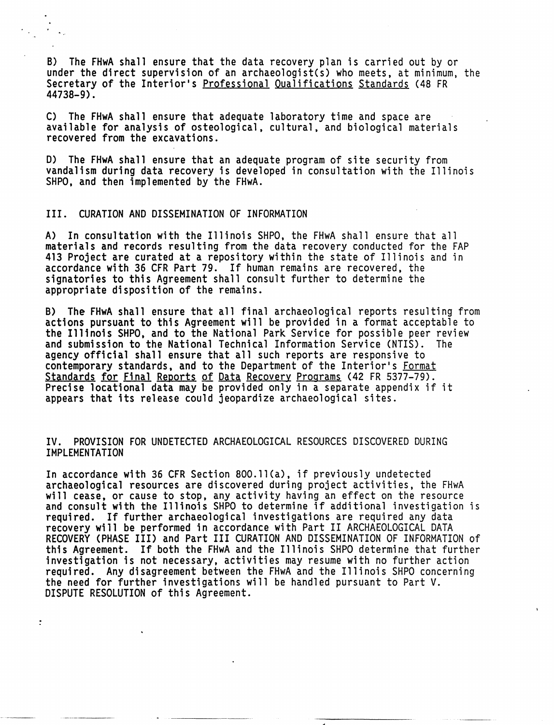B) The FHwA shall ensure that the data recovery plan is carried out by or under the direct supervision of an archaeologist(s) who meets, at minimum, the Secretary of the Interior's Professional Qualifications Standards (48 FR 44738-9).

C) The FHwA shall ensure that adequate laboratory time and space are available for analysis of osteological, cultural, and biological materials recovered from the excavations.

D) The FHwA shall ensure that an adequate program of site security from vandalism during data recovery is developed in consultation with the Illinois SHPO, and then implemented by the FHwA.

## III. CURATION AND DISSEMINATION OF INFORMATION

A) In consultation with the Illinois SHPO, the FHwA shall ensure that all materials and records resulting from the data recovery conducted for the FAP 413 Project are curated at a repository within the state of Illinois and in accordance with 36 CFR Part 79. If human remains are recovered, the signatories to this Agreement shall consult further to determine the appropriate disposition of the remains.

B) The FHwA shall ensure that all final archaeological reports resulting from actions pursuant to this Agreement will be provided in a format acceptable to the Illinois SHPO, and to the National Park Service for possible peer review and submission to the National Technical Information Service (NTIS). The agency official shall ensure that all such reports are responsive to contemporary standards, and to the Department of the Interior's <u>Format</u><br>Standards for Final Reports of Data Recovery Programs (42 FR 5377-79). Precise locational data may be provided only in a separate appendix if it appears that its release could jeopardize archaeological sites.

## IV. PROVISION FOR UNDETECTED ARCHAEOLOGICAL RESOURCES DISCOVERED DURING IMPLEMENTATION

In accordance with 36 CFR Section 8OO.ll(a), if previously undetected archaeological resources are discovered during project activities, the FHwA will cease, or cause to stop, any activity having an effect on the resource and consult with the Illinois SHPO to determine if additional investigation is required. If further archaeological investigations are required any data recovery will be performed in accordance with Part II ARCHAEOLOGICAL DATA RECOVERY (PHASE III) and Part III CURATION AND DISSEMINATION OF INFORMATION of this Agreement. If both the FHwA and the Illinois SHPO determine that further investigation is not necessary, activities may resume with no further action required. Any disagreement between the FHwA and the Illinois SHPO concerning the need for further investigations will be handled pursuant to Part *V.*  DISPUTE RESOLUTION of this Agreement.

---·----

 $\ddot{\cdot}$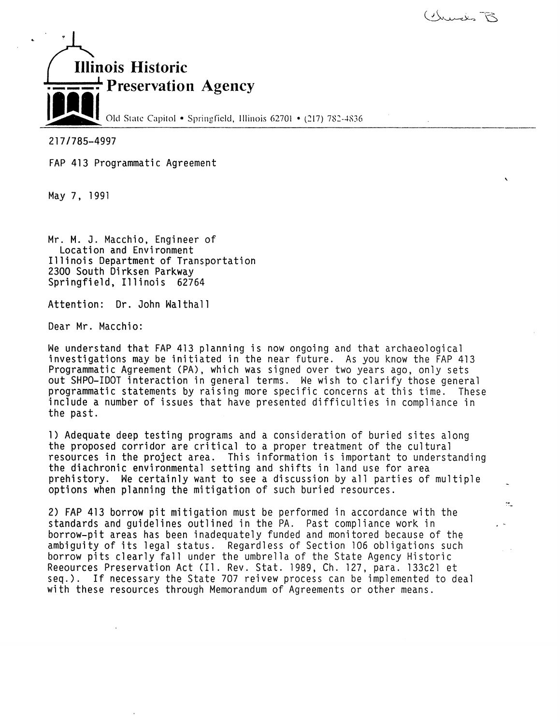

'

 $\ddot{\mathcal{L}}$ 



217 /785-4997

FAP 413 Programmatic Agreement

May 7, 1991

Mr. M. J. Macchio, Engineer of Location and Environment Illinois Department of Transportation<br>2300 South Dirksen Parkway<br>Springfield, Illinois 62764

Attention: Dr. John Walthall

Dear Mr. Macchio:

We understand that FAP 413 planning is now ongoing and that archaeological investigations may be initiated in the near future. As you know the FAP 413 Programmatic Agreement (PA), which was signed over two years ago, only sets<br>out SHPO-IDOT interaction in general terms. We wish to clarify those general programmatic statements by raising more specific concerns at this time. These include a number of issues that have presented difficulties in compliance in the past.

1) Adequate deep testing programs and a consideration of buried sites along the proposed corridor are critical to a proper treatment of the cultural resources in the project area. This information is important to understanding the diachronic environmental setting and shifts in land use for area prehistory. We certainly want to see a discussion by all parties of multiple options when planning the mitigation of such buried resources.

2) FAP 413 borrow pit mitigation must be performed in accordance with the standards and guidelines outlined in the PA. Past compliance work in borrow-pit areas has been inadequately funded and monitored because of the ambiguity of its legal status. Regardless of Section 106 obligations such borrow pits clearly fall under the umbrella of the State Agency Historic Reeources Preservation Act (Il. Rev. Stat. 1989, Ch. 127, para. 133c21 et seq.). If necessary the State 707 reivew process can be implemented to deal with these resources through Memorandum of Agreements or other means.